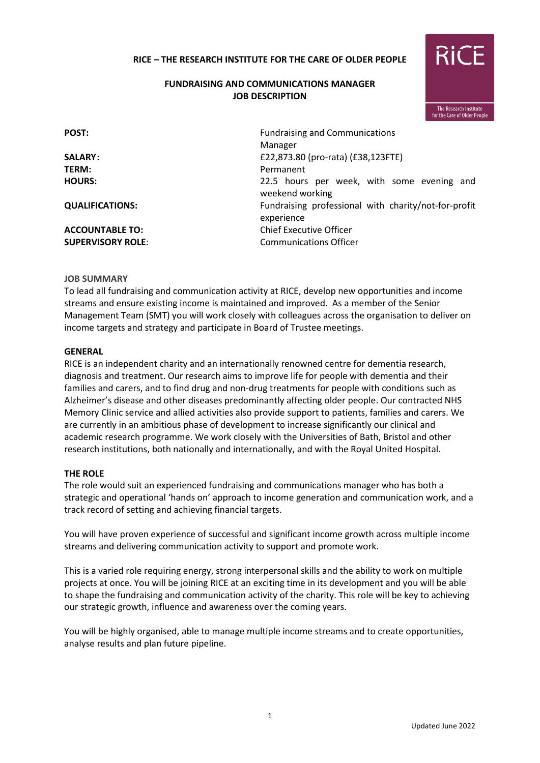## **RICE – THE RESEARCH INSTITUTE FOR THE CARE OF OLDER PEOPLE**

## **FUNDRAISING AND COMMUNICATIONS MANAGER JOB DESCRIPTION**



| POST:                    | <b>Fundraising and Communications</b><br>Manager                   |  |  |
|--------------------------|--------------------------------------------------------------------|--|--|
| <b>SALARY:</b>           | £22,873.80 (pro-rata) (£38,123FTE)                                 |  |  |
| TERM:                    | Permanent                                                          |  |  |
| <b>HOURS:</b>            | 22.5 hours per week, with some evening and<br>weekend working      |  |  |
| <b>QUALIFICATIONS:</b>   | Fundraising professional with charity/not-for-profit<br>experience |  |  |
| <b>ACCOUNTABLE TO:</b>   | <b>Chief Executive Officer</b>                                     |  |  |
| <b>SUPERVISORY ROLE:</b> | <b>Communications Officer</b>                                      |  |  |

#### **JOB SUMMARY**

To lead all fundraising and communication activity at RICE, develop new opportunities and income streams and ensure existing income is maintained and improved. As a member of the Senior Management Team (SMT) you will work closely with colleagues across the organisation to deliver on income targets and strategy and participate in Board of Trustee meetings.

#### **GENERAL**

RICE is an independent charity and an internationally renowned centre for dementia research, diagnosis and treatment. Our research aims to improve life for people with dementia and their families and carers, and to find drug and non-drug treatments for people with conditions such as Alzheimer's disease and other diseases predominantly affecting older people. Our contracted NHS Memory Clinic service and allied activities also provide support to patients, families and carers. We are currently in an ambitious phase of development to increase significantly our clinical and academic research programme. We work closely with the Universities of Bath, Bristol and other research institutions, both nationally and internationally, and with the Royal United Hospital.

#### **THE ROLE**

The role would suit an experienced fundraising and communications manager who has both a strategic and operational 'hands on' approach to income generation and communication work, and a track record of setting and achieving financial targets.

You will have proven experience of successful and significant income growth across multiple income streams and delivering communication activity to support and promote work.

This is a varied role requiring energy, strong interpersonal skills and the ability to work on multiple projects at once. You will be joining RICE at an exciting time in its development and you will be able to shape the fundraising and communication activity of the charity. This role will be key to achieving our strategic growth, influence and awareness over the coming years.

You will be highly organised, able to manage multiple income streams and to create opportunities, analyse results and plan future pipeline.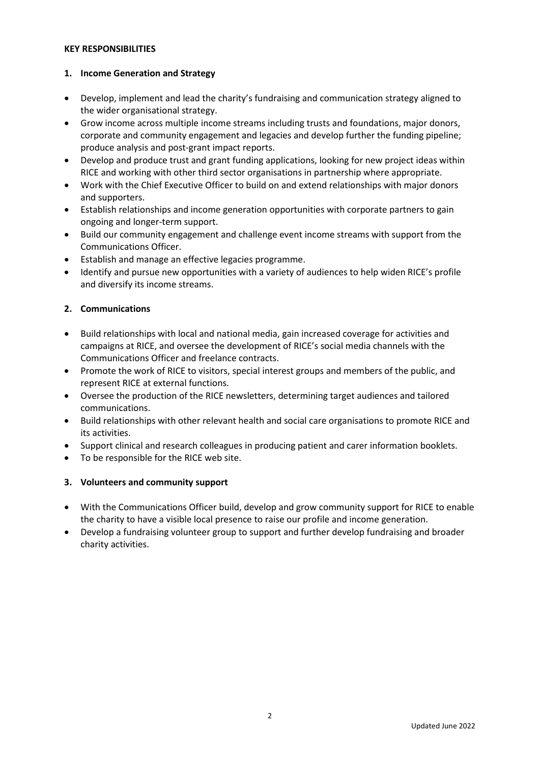#### **KEY RESPONSIBILITIES**

### **1. Income Generation and Strategy**

- Develop, implement and lead the charity's fundraising and communication strategy aligned to the wider organisational strategy.
- Grow income across multiple income streams including trusts and foundations, major donors, corporate and community engagement and legacies and develop further the funding pipeline; produce analysis and post-grant impact reports.
- Develop and produce trust and grant funding applications, looking for new project ideas within RICE and working with other third sector organisations in partnership where appropriate.
- Work with the Chief Executive Officer to build on and extend relationships with major donors and supporters.
- Establish relationships and income generation opportunities with corporate partners to gain ongoing and longer-term support.
- Build our community engagement and challenge event income streams with support from the Communications Officer.
- Establish and manage an effective legacies programme.
- Identify and pursue new opportunities with a variety of audiences to help widen RICE's profile and diversify its income streams.

## **2. Communications**

- Build relationships with local and national media, gain increased coverage for activities and campaigns at RICE, and oversee the development of RICE's social media channels with the Communications Officer and freelance contracts.
- Promote the work of RICE to visitors, special interest groups and members of the public, and represent RICE at external functions.
- Oversee the production of the RICE newsletters, determining target audiences and tailored communications.
- Build relationships with other relevant health and social care organisations to promote RICE and its activities.
- Support clinical and research colleagues in producing patient and carer information booklets.
- To be responsible for the RICE web site.

### **3. Volunteers and community support**

- With the Communications Officer build, develop and grow community support for RICE to enable the charity to have a visible local presence to raise our profile and income generation.
- Develop a fundraising volunteer group to support and further develop fundraising and broader charity activities.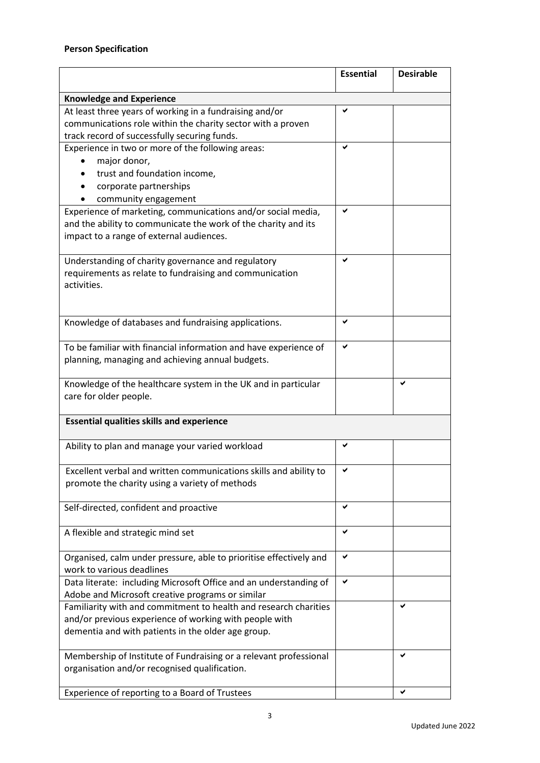|                                                                                                                                                                                  | <b>Essential</b> | <b>Desirable</b> |  |
|----------------------------------------------------------------------------------------------------------------------------------------------------------------------------------|------------------|------------------|--|
| <b>Knowledge and Experience</b>                                                                                                                                                  |                  |                  |  |
| At least three years of working in a fundraising and/or<br>communications role within the charity sector with a proven<br>track record of successfully securing funds.           | ✔                |                  |  |
| Experience in two or more of the following areas:<br>major donor,<br>trust and foundation income,<br>corporate partnerships<br>community engagement                              | ✔                |                  |  |
| Experience of marketing, communications and/or social media,<br>and the ability to communicate the work of the charity and its<br>impact to a range of external audiences.       | ✔                |                  |  |
| Understanding of charity governance and regulatory<br>requirements as relate to fundraising and communication<br>activities.                                                     |                  |                  |  |
| Knowledge of databases and fundraising applications.                                                                                                                             | ✔                |                  |  |
| To be familiar with financial information and have experience of<br>planning, managing and achieving annual budgets.                                                             | ✔                |                  |  |
| Knowledge of the healthcare system in the UK and in particular<br>care for older people.                                                                                         |                  |                  |  |
| <b>Essential qualities skills and experience</b>                                                                                                                                 |                  |                  |  |
| Ability to plan and manage your varied workload                                                                                                                                  | ✔                |                  |  |
| Excellent verbal and written communications skills and ability to<br>promote the charity using a variety of methods                                                              | ✔                |                  |  |
| Self-directed, confident and proactive                                                                                                                                           | ✔                |                  |  |
| A flexible and strategic mind set                                                                                                                                                | ✔                |                  |  |
| Organised, calm under pressure, able to prioritise effectively and<br>work to various deadlines                                                                                  | ✔                |                  |  |
| Data literate: including Microsoft Office and an understanding of<br>Adobe and Microsoft creative programs or similar                                                            | ✔                |                  |  |
| Familiarity with and commitment to health and research charities<br>and/or previous experience of working with people with<br>dementia and with patients in the older age group. |                  |                  |  |
| Membership of Institute of Fundraising or a relevant professional<br>organisation and/or recognised qualification.                                                               |                  |                  |  |
| Experience of reporting to a Board of Trustees                                                                                                                                   |                  | ✔                |  |